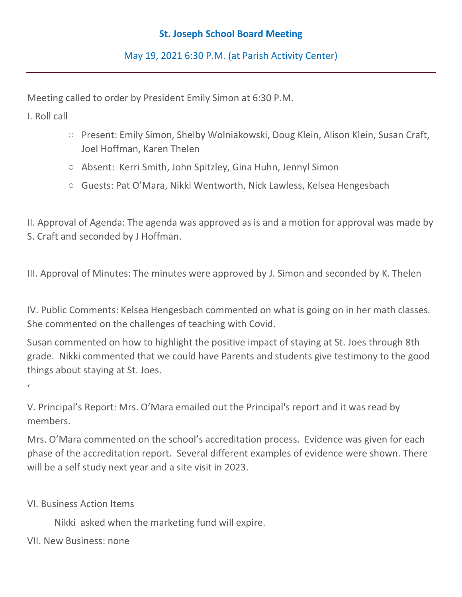## **St. Joseph School Board Meeting**

May 19, 2021 6:30 P.M. (at Parish Activity Center)

Meeting called to order by President Emily Simon at 6:30 P.M.

I. Roll call

 $\epsilon$ 

- Present: Emily Simon, Shelby Wolniakowski, Doug Klein, Alison Klein, Susan Craft, Joel Hoffman, Karen Thelen
- Absent: Kerri Smith, John Spitzley, Gina Huhn, Jennyl Simon
- Guests: Pat O'Mara, Nikki Wentworth, Nick Lawless, Kelsea Hengesbach

II. Approval of Agenda: The agenda was approved as is and a motion for approval was made by S. Craft and seconded by J Hoffman.

III. Approval of Minutes: The minutes were approved by J. Simon and seconded by K. Thelen

IV. Public Comments: Kelsea Hengesbach commented on what is going on in her math classes. She commented on the challenges of teaching with Covid.

Susan commented on how to highlight the positive impact of staying at St. Joes through 8th grade. Nikki commented that we could have Parents and students give testimony to the good things about staying at St. Joes.

V. Principal's Report: Mrs. O'Mara emailed out the Principal's report and it was read by members.

Mrs. O'Mara commented on the school's accreditation process. Evidence was given for each phase of the accreditation report. Several different examples of evidence were shown. There will be a self study next year and a site visit in 2023.

VI. Business Action Items

Nikki asked when the marketing fund will expire.

VII. New Business: none